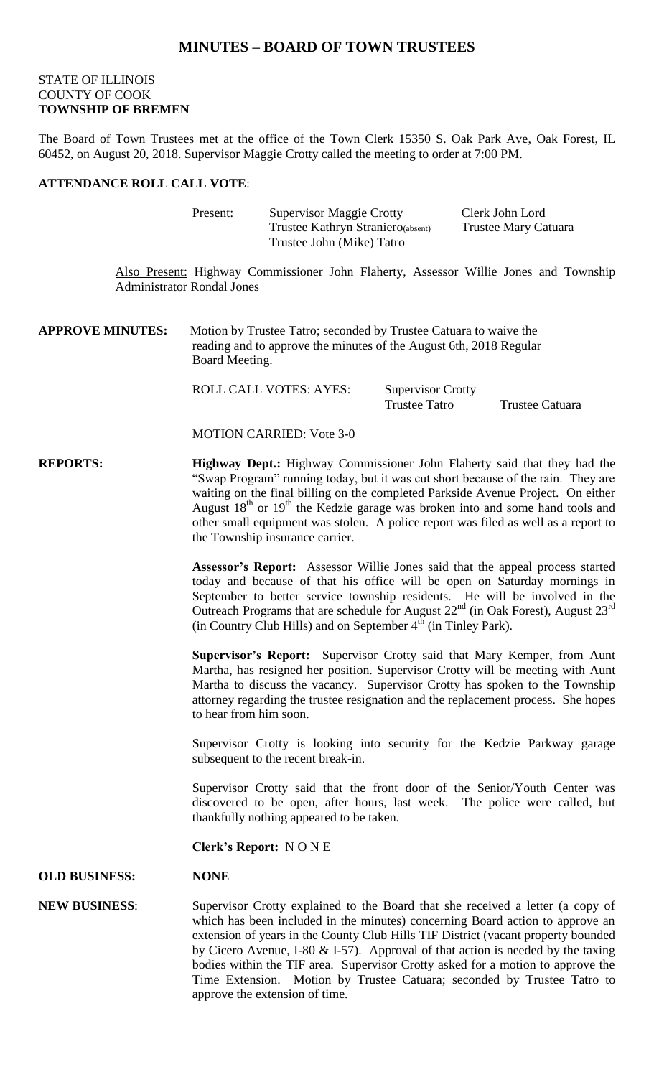## **MINUTES – BOARD OF TOWN TRUSTEES**

## STATE OF ILLINOIS COUNTY OF COOK **TOWNSHIP OF BREMEN**

The Board of Town Trustees met at the office of the Town Clerk 15350 S. Oak Park Ave, Oak Forest, IL 60452, on August 20, 2018. Supervisor Maggie Crotty called the meeting to order at 7:00 PM.

### **ATTENDANCE ROLL CALL VOTE**:

| Present: | <b>Supervisor Maggie Crotty</b>   | Clerk John Lord             |
|----------|-----------------------------------|-----------------------------|
|          | Trustee Kathryn Straniero(absent) | <b>Trustee Mary Catuara</b> |
|          | Trustee John (Mike) Tatro         |                             |

Also Present: Highway Commissioner John Flaherty, Assessor Willie Jones and Township Administrator Rondal Jones

**APPROVE MINUTES:** Motion by Trustee Tatro; seconded by Trustee Catuara to waive the reading and to approve the minutes of the August 6th, 2018 Regular Board Meeting.

> ROLL CALL VOTES: AYES: Supervisor Crotty Trustee Tatro Trustee Catuara

MOTION CARRIED: Vote 3-0

**REPORTS: Highway Dept.:** Highway Commissioner John Flaherty said that they had the "Swap Program" running today, but it was cut short because of the rain. They are waiting on the final billing on the completed Parkside Avenue Project. On either August  $18<sup>th</sup>$  or  $19<sup>th</sup>$  the Kedzie garage was broken into and some hand tools and other small equipment was stolen. A police report was filed as well as a report to the Township insurance carrier.

> **Assessor's Report:** Assessor Willie Jones said that the appeal process started today and because of that his office will be open on Saturday mornings in September to better service township residents. He will be involved in the Outreach Programs that are schedule for August  $22<sup>nd</sup>$  (in Oak Forest), August  $23<sup>rd</sup>$ (in Country Club Hills) and on September  $4^{th}$  (in Tinley Park).

> **Supervisor's Report:** Supervisor Crotty said that Mary Kemper, from Aunt Martha, has resigned her position. Supervisor Crotty will be meeting with Aunt Martha to discuss the vacancy. Supervisor Crotty has spoken to the Township attorney regarding the trustee resignation and the replacement process. She hopes to hear from him soon.

> Supervisor Crotty is looking into security for the Kedzie Parkway garage subsequent to the recent break-in.

> Supervisor Crotty said that the front door of the Senior/Youth Center was discovered to be open, after hours, last week. The police were called, but thankfully nothing appeared to be taken.

**Clerk's Report:** N O N E

#### **OLD BUSINESS: NONE**

## **NEW BUSINESS**: Supervisor Crotty explained to the Board that she received a letter (a copy of which has been included in the minutes) concerning Board action to approve an extension of years in the County Club Hills TIF District (vacant property bounded by Cicero Avenue, I-80  $&$  I-57). Approval of that action is needed by the taxing bodies within the TIF area. Supervisor Crotty asked for a motion to approve the Time Extension. Motion by Trustee Catuara; seconded by Trustee Tatro to approve the extension of time.